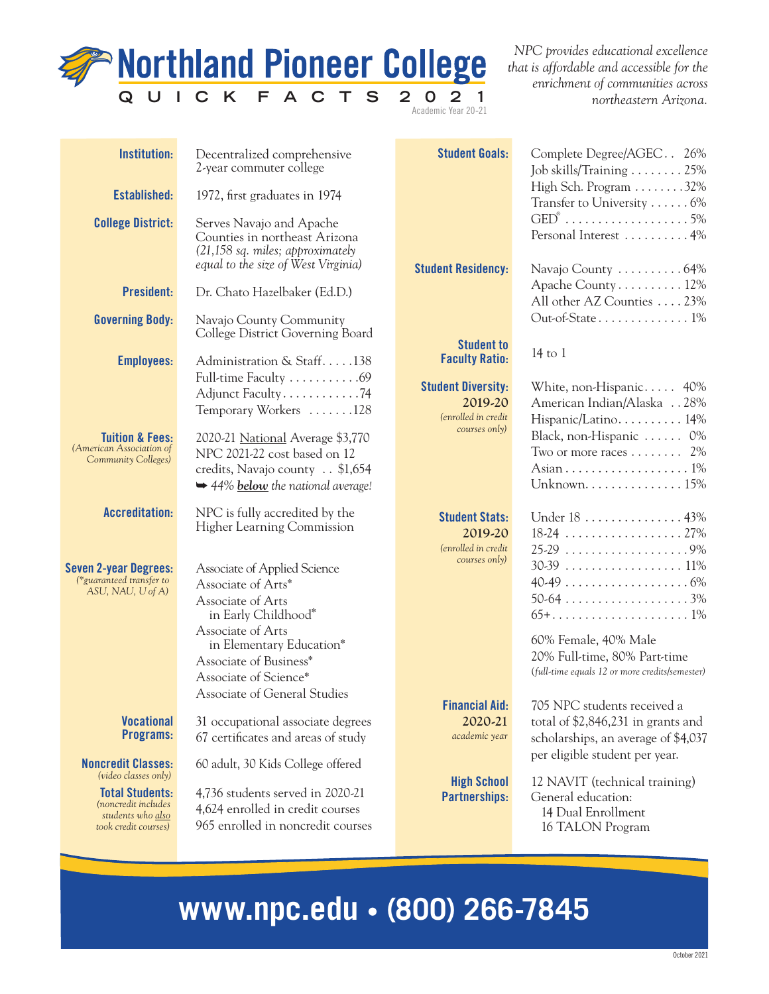

*NPC provides educational excellence that is affordable and accessible for the enrichment of communities across northeastern Arizona.*

| <b>Institution:</b>                                                                                                | Decentralized comprehensive<br>2-year commuter college                                                                                                | <b>Student Goals:</b>                                        | Complete Degree/AGEC 26%<br>Job skills/Training $\ldots \ldots \ldots 25\%$                              |
|--------------------------------------------------------------------------------------------------------------------|-------------------------------------------------------------------------------------------------------------------------------------------------------|--------------------------------------------------------------|----------------------------------------------------------------------------------------------------------|
| Established:                                                                                                       | 1972, first graduates in 1974                                                                                                                         |                                                              | High Sch. Program 32%<br>Transfer to University  6%                                                      |
| <b>College District:</b>                                                                                           | Serves Navajo and Apache<br>Counties in northeast Arizona<br>$(21,158 \text{ sq. miles};$ approximately                                               |                                                              | $\text{GED}^\circ$ 5%<br>Personal Interest  4%                                                           |
|                                                                                                                    | equal to the size of West Virginia)                                                                                                                   | <b>Student Residency:</b>                                    | Navajo County 64%                                                                                        |
| President:                                                                                                         | Dr. Chato Hazelbaker (Ed.D.)                                                                                                                          |                                                              | Apache County 12%<br>All other AZ Counties 23%                                                           |
| <b>Governing Body:</b>                                                                                             | Navajo County Community<br>College District Governing Board                                                                                           |                                                              | Out-of-State1%                                                                                           |
| <b>Employees:</b>                                                                                                  | Administration & Staff138                                                                                                                             | <b>Student to</b><br><b>Faculty Ratio:</b>                   | 14 to 1                                                                                                  |
|                                                                                                                    | Full-time Faculty 69<br>Adjunct Faculty74<br>Temporary Workers 128                                                                                    | <b>Student Diversity:</b><br>2019-20<br>(enrolled in credit) | White, non-Hispanic 40%<br>American Indian/Alaska 28%<br>Hispanic/Latino 14%                             |
| <b>Tuition &amp; Fees:</b><br>(American Association of<br>Community Colleges)                                      | 2020-21 National Average \$3,770<br>NPC 2021-22 cost based on 12<br>credits, Navajo county . \$1,654<br>$\rightarrow$ 44% below the national average! | courses only)                                                | Black, non-Hispanic  0%<br>Two or more races $\dots \dots 2\%$                                           |
| <b>Accreditation:</b>                                                                                              | NPC is fully accredited by the<br><b>Higher Learning Commission</b>                                                                                   | <b>Student Stats:</b><br>2019-20<br>(enrolled in credit      | Under 18 43%                                                                                             |
| <b>Seven 2-year Degrees:</b><br>(*guaranteed transfer to<br>ASU, NAU, U of A)                                      | Associate of Applied Science<br>Associate of Arts*<br>Associate of Arts<br>in Early Childhood*                                                        | courses only)                                                |                                                                                                          |
|                                                                                                                    | Associate of Arts<br>in Elementary Education*<br>Associate of Business*<br>Associate of Science*                                                      |                                                              | 60% Female, 40% Male<br>20% Full-time, 80% Part-time<br>(full-time equals 12 or more credits/semester)   |
| <b>Vocational</b><br>Programs:                                                                                     | Associate of General Studies<br>31 occupational associate degrees<br>67 certificates and areas of study                                               | <b>Financial Aid:</b><br>2020-21<br>academic year            | 705 NPC students received a<br>total of \$2,846,231 in grants and<br>scholarships, an average of \$4,037 |
| <b>Noncredit Classes:</b>                                                                                          | 60 adult, 30 Kids College offered                                                                                                                     |                                                              | per eligible student per year.                                                                           |
| (video classes only)<br><b>Total Students:</b><br>(noncredit includes<br>students who also<br>took credit courses) | 4,736 students served in 2020-21<br>4,624 enrolled in credit courses<br>965 enrolled in noncredit courses                                             | <b>High School</b><br>Partnerships:                          | 12 NAVIT (technical training)<br>General education:<br>14 Dual Enrollment<br>16 TALON Program            |

## **www.npc.edu • (800) 266-7845**